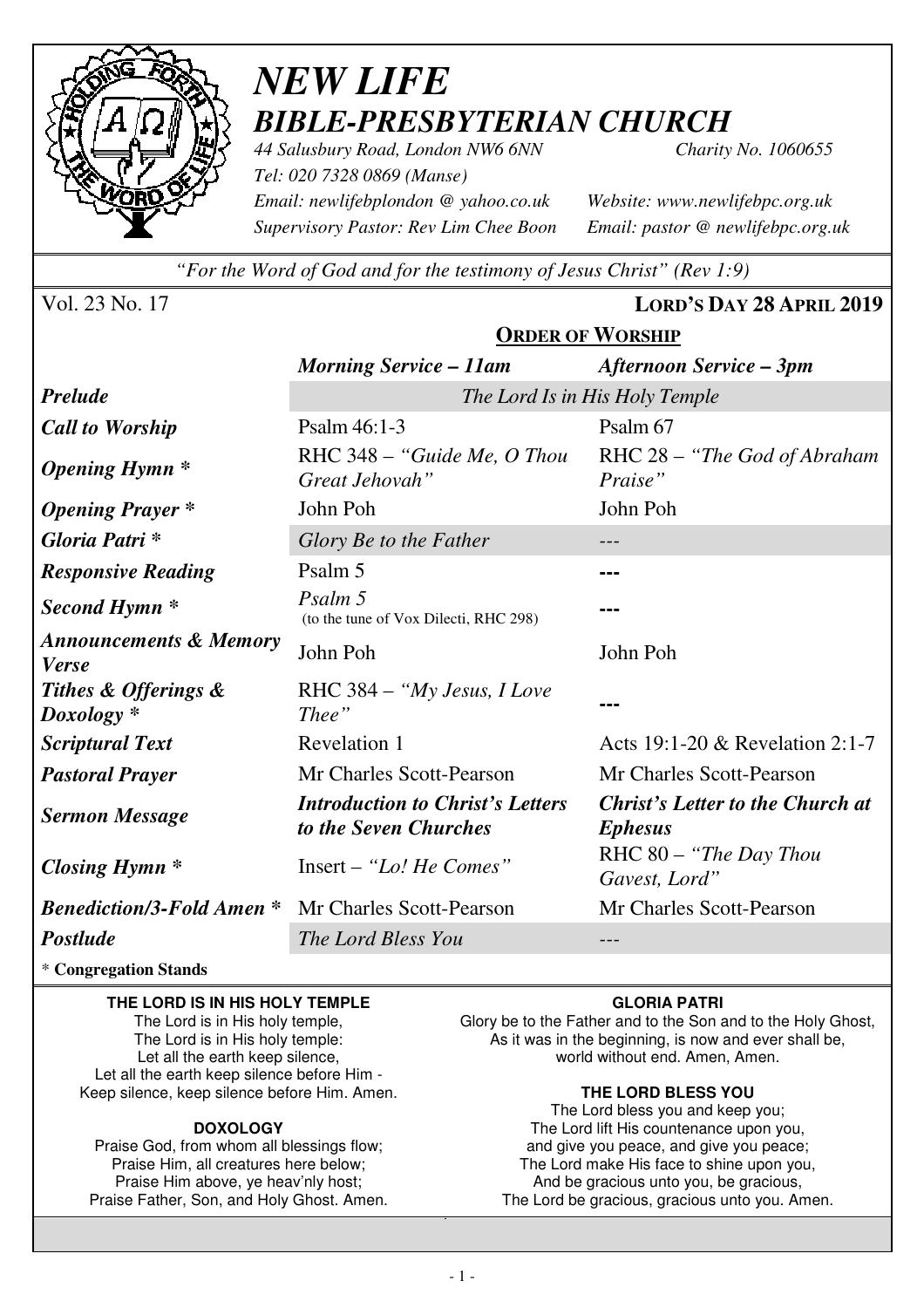

# *NEW LIFE BIBLE-PRESBYTERIAN CHURCH*

*44 Salusbury Road, London NW6 6NN Charity No. 1060655 Tel: 020 7328 0869 (Manse) Email: newlifebplondon @ yahoo.co.uk Website: www.newlifebpc.org.uk Supervisory Pastor: Rev Lim Chee Boon Email: pastor @ newlifebpc.org.uk* 

*"For the Word of God and for the testimony of Jesus Christ" (Rev 1:9)*

**ORDER OF WORSHIP**

Vol. 23 No. 17 **LORD'S DAY 28 APRIL 2019**

|                                                           | <b>Morning Service – 11am</b>                                    | Afternoon Service – 3pm                                   |  |  |  |
|-----------------------------------------------------------|------------------------------------------------------------------|-----------------------------------------------------------|--|--|--|
| <b>Prelude</b>                                            | The Lord Is in His Holy Temple                                   |                                                           |  |  |  |
| <b>Call to Worship</b>                                    | Psalm 46:1-3                                                     | Psalm 67                                                  |  |  |  |
| <b>Opening Hymn</b> *                                     | RHC 348 - "Guide Me, O Thou<br>Great Jehovah"                    | RHC 28 - "The God of Abraham<br>Praise"                   |  |  |  |
| <b>Opening Prayer</b> *                                   | John Poh                                                         | John Poh                                                  |  |  |  |
| Gloria Patri*                                             | Glory Be to the Father                                           | $- - -$                                                   |  |  |  |
| <b>Responsive Reading</b>                                 | Psalm 5                                                          |                                                           |  |  |  |
| Second Hymn <sup>*</sup>                                  | Psalm 5<br>(to the tune of Vox Dilecti, RHC 298)                 |                                                           |  |  |  |
| <b>Announcements &amp; Memory</b><br><b>Verse</b>         | John Poh                                                         | John Poh                                                  |  |  |  |
| Tithes & Offerings &<br>$Doxology *$                      | RHC $384 - "My Jesus, I Love$<br>Thee"                           |                                                           |  |  |  |
| <b>Scriptural Text</b>                                    | Revelation 1                                                     | Acts 19:1-20 & Revelation 2:1-7                           |  |  |  |
| <b>Pastoral Prayer</b>                                    | Mr Charles Scott-Pearson                                         | Mr Charles Scott-Pearson                                  |  |  |  |
| <b>Sermon Message</b>                                     | <b>Introduction to Christ's Letters</b><br>to the Seven Churches | <b>Christ's Letter to the Church at</b><br><b>Ephesus</b> |  |  |  |
| Closing Hymn $*$                                          | Insert - "Lo! He Comes"                                          | RHC 80 - "The Day Thou<br>Gavest, Lord"                   |  |  |  |
| <b>Benediction/3-Fold Amen</b> * Mr Charles Scott-Pearson |                                                                  | Mr Charles Scott-Pearson                                  |  |  |  |
| Postlude                                                  | The Lord Bless You                                               |                                                           |  |  |  |

\* **Congregation Stands** 

#### **THE LORD IS IN HIS HOLY TEMPLE**

The Lord is in His holy temple, The Lord is in His holy temple: Let all the earth keep silence, Let all the earth keep silence before Him - Keep silence, keep silence before Him. Amen.

#### **DOXOLOGY**

Praise God, from whom all blessings flow; Praise Him, all creatures here below; Praise Him above, ye heav'nly host; Praise Father, Son, and Holy Ghost. Amen.

#### **GLORIA PATRI**

Glory be to the Father and to the Son and to the Holy Ghost, As it was in the beginning, is now and ever shall be, world without end. Amen, Amen.

#### **THE LORD BLESS YOU**

The Lord bless you and keep you; The Lord lift His countenance upon you, and give you peace, and give you peace; The Lord make His face to shine upon you, And be gracious unto you, be gracious, The Lord be gracious, gracious unto you. Amen.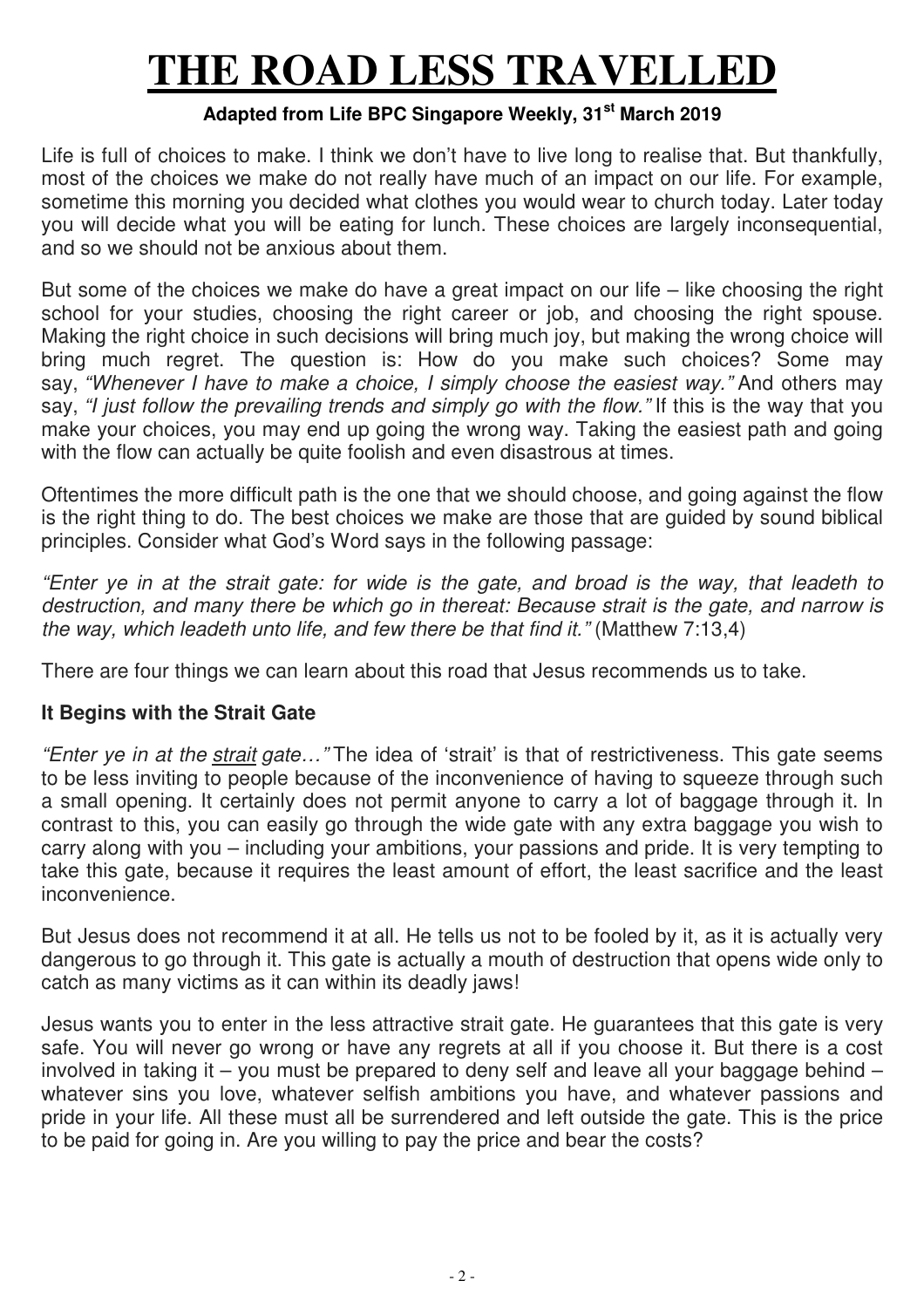# **THE ROAD LESS TRAVELLED**

## **Adapted from Life BPC Singapore Weekly, 31st March 2019**

Life is full of choices to make. I think we don't have to live long to realise that. But thankfully, most of the choices we make do not really have much of an impact on our life. For example, sometime this morning you decided what clothes you would wear to church today. Later today you will decide what you will be eating for lunch. These choices are largely inconsequential, and so we should not be anxious about them.

But some of the choices we make do have a great impact on our life – like choosing the right school for your studies, choosing the right career or job, and choosing the right spouse. Making the right choice in such decisions will bring much joy, but making the wrong choice will bring much regret. The question is: How do you make such choices? Some may say, *"Whenever I have to make a choice, I simply choose the easiest way."* And others may say, *"I just follow the prevailing trends and simply go with the flow."* If this is the way that you make your choices, you may end up going the wrong way. Taking the easiest path and going with the flow can actually be quite foolish and even disastrous at times.

Oftentimes the more difficult path is the one that we should choose, and going against the flow is the right thing to do. The best choices we make are those that are guided by sound biblical principles. Consider what God's Word says in the following passage:

*"Enter ye in at the strait gate: for wide is the gate, and broad is the way, that leadeth to destruction, and many there be which go in thereat: Because strait is the gate, and narrow is the way, which leadeth unto life, and few there be that find it."* (Matthew 7:13,4)

There are four things we can learn about this road that Jesus recommends us to take.

## **It Begins with the Strait Gate**

*"Enter ye in at the strait gate…"* The idea of 'strait' is that of restrictiveness. This gate seems to be less inviting to people because of the inconvenience of having to squeeze through such a small opening. It certainly does not permit anyone to carry a lot of baggage through it. In contrast to this, you can easily go through the wide gate with any extra baggage you wish to carry along with you – including your ambitions, your passions and pride. It is very tempting to take this gate, because it requires the least amount of effort, the least sacrifice and the least inconvenience.

But Jesus does not recommend it at all. He tells us not to be fooled by it, as it is actually very dangerous to go through it. This gate is actually a mouth of destruction that opens wide only to catch as many victims as it can within its deadly jaws!

Jesus wants you to enter in the less attractive strait gate. He guarantees that this gate is very safe. You will never go wrong or have any regrets at all if you choose it. But there is a cost involved in taking it – you must be prepared to deny self and leave all your baggage behind – whatever sins you love, whatever selfish ambitions you have, and whatever passions and pride in your life. All these must all be surrendered and left outside the gate. This is the price to be paid for going in. Are you willing to pay the price and bear the costs?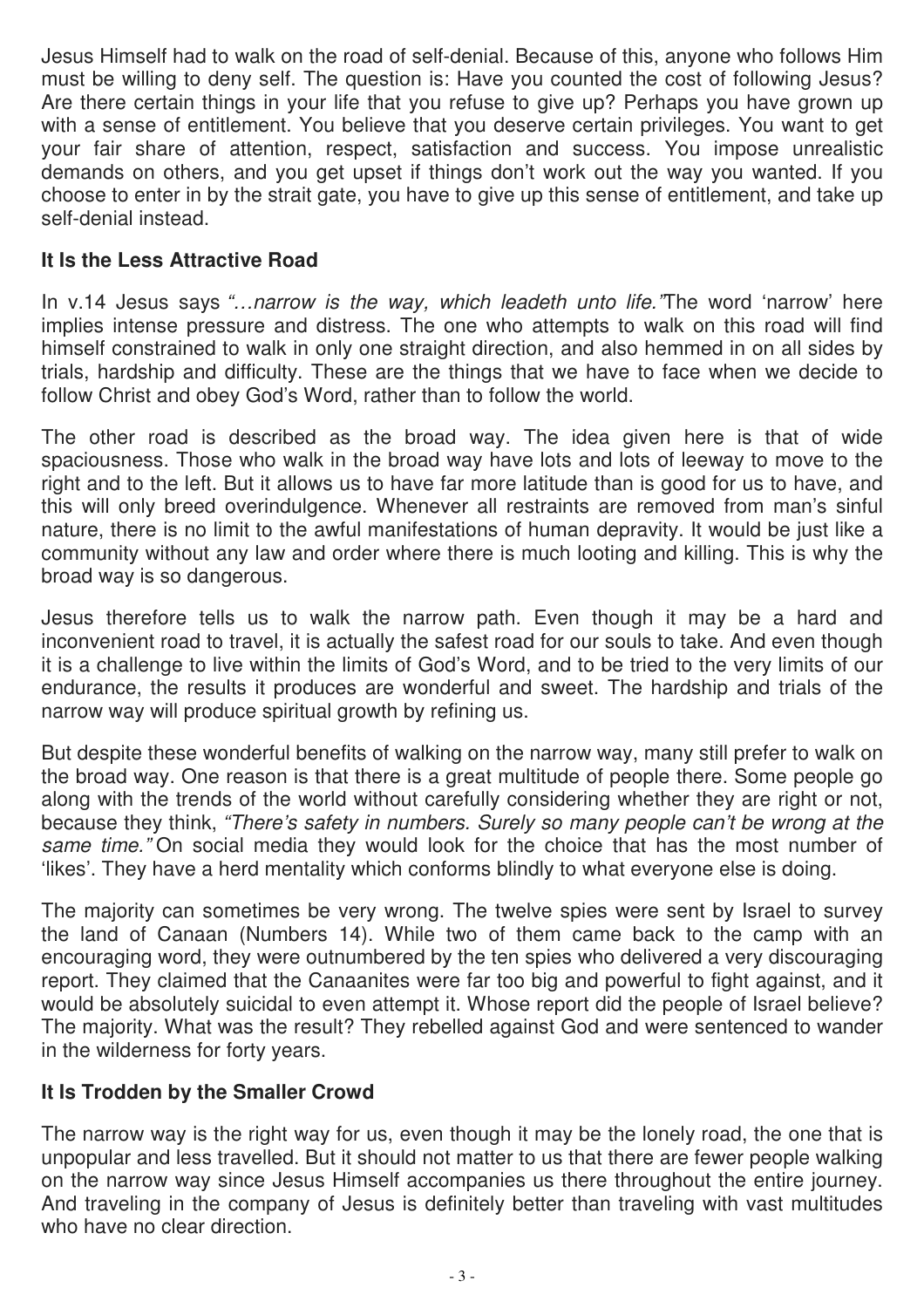Jesus Himself had to walk on the road of self-denial. Because of this, anyone who follows Him must be willing to deny self. The question is: Have you counted the cost of following Jesus? Are there certain things in your life that you refuse to give up? Perhaps you have grown up with a sense of entitlement. You believe that you deserve certain privileges. You want to get your fair share of attention, respect, satisfaction and success. You impose unrealistic demands on others, and you get upset if things don't work out the way you wanted. If you choose to enter in by the strait gate, you have to give up this sense of entitlement, and take up self-denial instead.

## **It Is the Less Attractive Road**

In v.14 Jesus says *"…narrow is the way, which leadeth unto life."*The word 'narrow' here implies intense pressure and distress. The one who attempts to walk on this road will find himself constrained to walk in only one straight direction, and also hemmed in on all sides by trials, hardship and difficulty. These are the things that we have to face when we decide to follow Christ and obey God's Word, rather than to follow the world.

The other road is described as the broad way. The idea given here is that of wide spaciousness. Those who walk in the broad way have lots and lots of leeway to move to the right and to the left. But it allows us to have far more latitude than is good for us to have, and this will only breed overindulgence. Whenever all restraints are removed from man's sinful nature, there is no limit to the awful manifestations of human depravity. It would be just like a community without any law and order where there is much looting and killing. This is why the broad way is so dangerous.

Jesus therefore tells us to walk the narrow path. Even though it may be a hard and inconvenient road to travel, it is actually the safest road for our souls to take. And even though it is a challenge to live within the limits of God's Word, and to be tried to the very limits of our endurance, the results it produces are wonderful and sweet. The hardship and trials of the narrow way will produce spiritual growth by refining us.

But despite these wonderful benefits of walking on the narrow way, many still prefer to walk on the broad way. One reason is that there is a great multitude of people there. Some people go along with the trends of the world without carefully considering whether they are right or not, because they think, *"There's safety in numbers. Surely so many people can't be wrong at the same time."* On social media they would look for the choice that has the most number of 'likes'. They have a herd mentality which conforms blindly to what everyone else is doing.

The majority can sometimes be very wrong. The twelve spies were sent by Israel to survey the land of Canaan (Numbers 14). While two of them came back to the camp with an encouraging word, they were outnumbered by the ten spies who delivered a very discouraging report. They claimed that the Canaanites were far too big and powerful to fight against, and it would be absolutely suicidal to even attempt it. Whose report did the people of Israel believe? The majority. What was the result? They rebelled against God and were sentenced to wander in the wilderness for forty years.

## **It Is Trodden by the Smaller Crowd**

The narrow way is the right way for us, even though it may be the lonely road, the one that is unpopular and less travelled. But it should not matter to us that there are fewer people walking on the narrow way since Jesus Himself accompanies us there throughout the entire journey. And traveling in the company of Jesus is definitely better than traveling with vast multitudes who have no clear direction.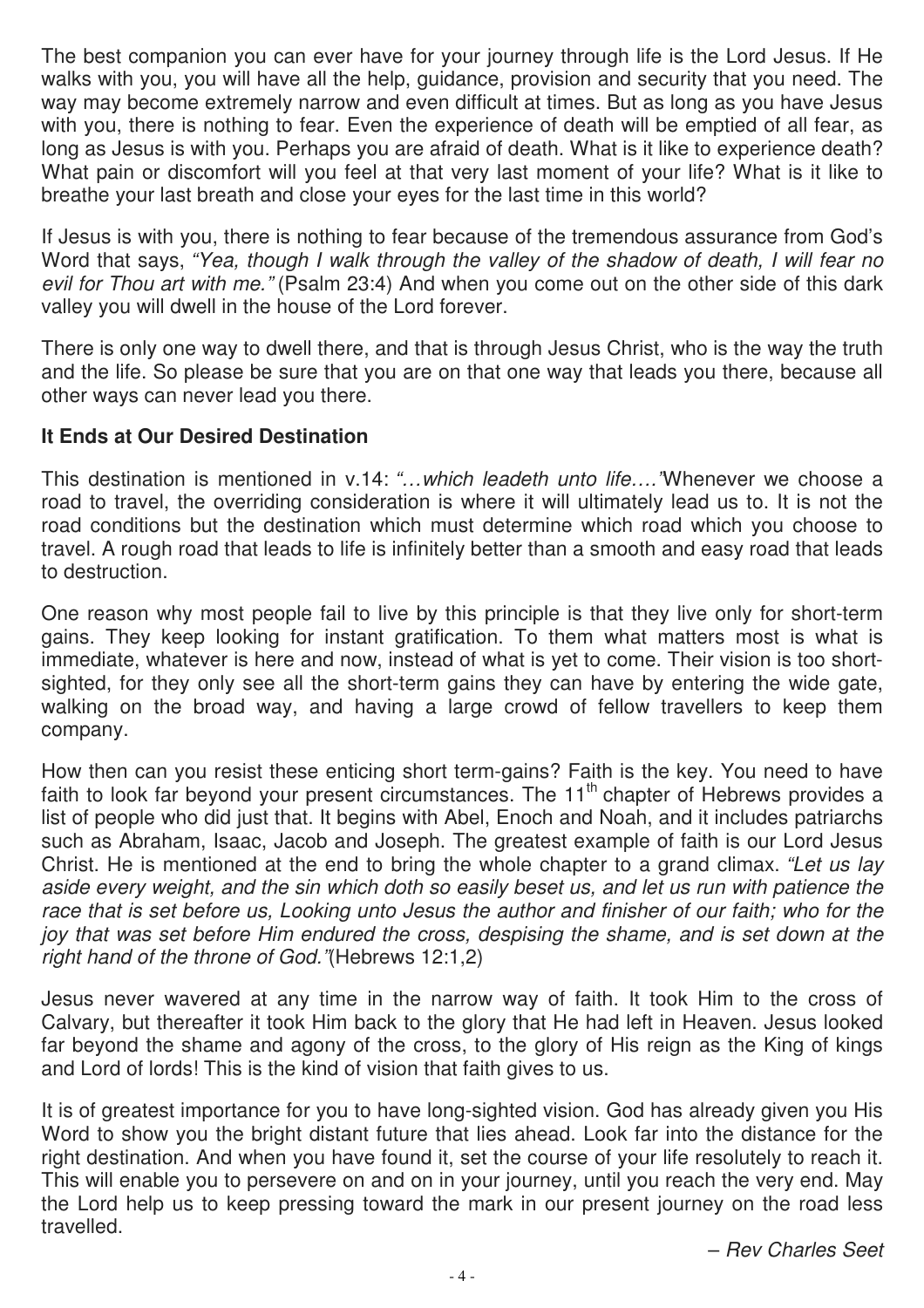The best companion you can ever have for your journey through life is the Lord Jesus. If He walks with you, you will have all the help, guidance, provision and security that you need. The way may become extremely narrow and even difficult at times. But as long as you have Jesus with you, there is nothing to fear. Even the experience of death will be emptied of all fear, as long as Jesus is with you. Perhaps you are afraid of death. What is it like to experience death? What pain or discomfort will you feel at that very last moment of your life? What is it like to breathe your last breath and close your eyes for the last time in this world?

If Jesus is with you, there is nothing to fear because of the tremendous assurance from God's Word that says, *"Yea, though I walk through the valley of the shadow of death, I will fear no*  evil for Thou art with me." (Psalm 23:4) And when you come out on the other side of this dark valley you will dwell in the house of the Lord forever.

There is only one way to dwell there, and that is through Jesus Christ, who is the way the truth and the life. So please be sure that you are on that one way that leads you there, because all other ways can never lead you there.

## **It Ends at Our Desired Destination**

This destination is mentioned in v.14: *"…which leadeth unto life…."*Whenever we choose a road to travel, the overriding consideration is where it will ultimately lead us to. It is not the road conditions but the destination which must determine which road which you choose to travel. A rough road that leads to life is infinitely better than a smooth and easy road that leads to destruction.

One reason why most people fail to live by this principle is that they live only for short-term gains. They keep looking for instant gratification. To them what matters most is what is immediate, whatever is here and now, instead of what is yet to come. Their vision is too shortsighted, for they only see all the short-term gains they can have by entering the wide gate, walking on the broad way, and having a large crowd of fellow travellers to keep them company.

How then can you resist these enticing short term-gains? Faith is the key. You need to have faith to look far beyond your present circumstances. The 11<sup>th</sup> chapter of Hebrews provides a list of people who did just that. It begins with Abel, Enoch and Noah, and it includes patriarchs such as Abraham, Isaac, Jacob and Joseph. The greatest example of faith is our Lord Jesus Christ. He is mentioned at the end to bring the whole chapter to a grand climax. *"Let us lay aside every weight, and the sin which doth so easily beset us, and let us run with patience the*  race that is set before us, Looking unto Jesus the author and finisher of our faith; who for the *joy that was set before Him endured the cross, despising the shame, and is set down at the right hand of the throne of God."*(Hebrews 12:1,2)

Jesus never wavered at any time in the narrow way of faith. It took Him to the cross of Calvary, but thereafter it took Him back to the glory that He had left in Heaven. Jesus looked far beyond the shame and agony of the cross, to the glory of His reign as the King of kings and Lord of lords! This is the kind of vision that faith gives to us.

It is of greatest importance for you to have long-sighted vision. God has already given you His Word to show you the bright distant future that lies ahead. Look far into the distance for the right destination. And when you have found it, set the course of your life resolutely to reach it. This will enable you to persevere on and on in your journey, until you reach the very end. May the Lord help us to keep pressing toward the mark in our present journey on the road less travelled.